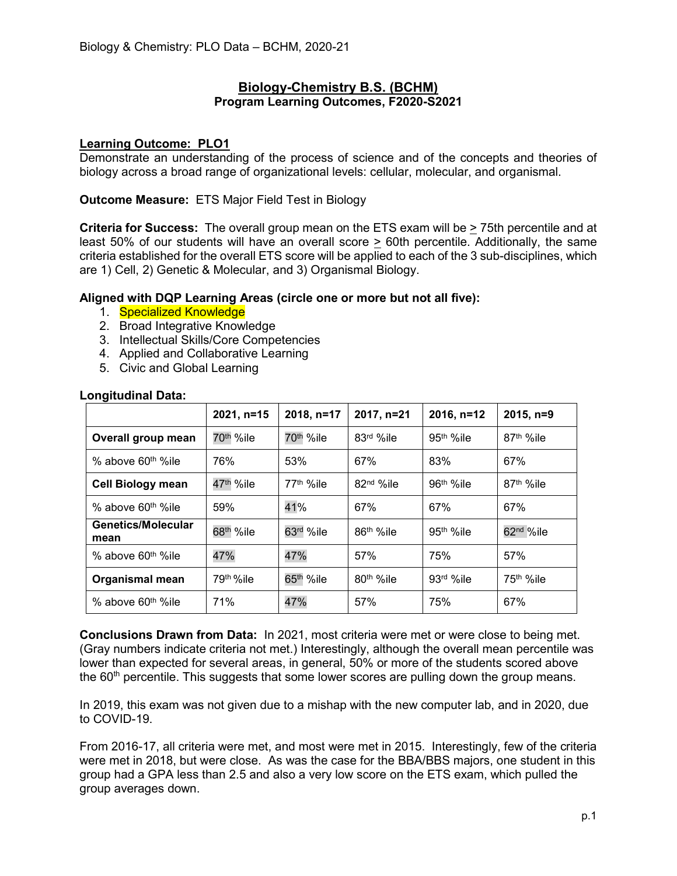## **Biology-Chemistry B.S. (BCHM) Program Learning Outcomes, F2020-S2021**

## **Learning Outcome: PLO1**

Demonstrate an understanding of the process of science and of the concepts and theories of biology across a broad range of organizational levels: cellular, molecular, and organismal.

## **Outcome Measure:** ETS Major Field Test in Biology

**Criteria for Success:** The overall group mean on the ETS exam will be > 75th percentile and at least 50% of our students will have an overall score > 60th percentile. Additionally, the same criteria established for the overall ETS score will be applied to each of the 3 sub-disciplines, which are 1) Cell, 2) Genetic & Molecular, and 3) Organismal Biology.

## **Aligned with DQP Learning Areas (circle one or more but not all five):**

- 1. Specialized Knowledge
- 2. Broad Integrative Knowledge
- 3. Intellectual Skills/Core Competencies
- 4. Applied and Collaborative Learning
- 5. Civic and Global Learning

|                                | 2021, n=15            | 2018, n=17            | 2017, n=21            | $2016, n=12$          | $2015, n=9$           |
|--------------------------------|-----------------------|-----------------------|-----------------------|-----------------------|-----------------------|
| Overall group mean             | 70 <sup>th</sup> %ile | 70 <sup>th</sup> %ile | 83rd %ile             | 95 <sup>th</sup> %ile | 87 <sup>th</sup> %ile |
| % above 60 <sup>th %</sup> ile | 76%                   | 53%                   | 67%                   | 83%                   | 67%                   |
| <b>Cell Biology mean</b>       | 47 <sup>th</sup> %ile | 77 <sup>th</sup> %ile | 82 <sup>nd</sup> %ile | 96 <sup>th</sup> %ile | 87 <sup>th</sup> %ile |
| % above 60 <sup>th %</sup> ile | 59%                   | 41%                   | 67%                   | 67%                   | 67%                   |
| Genetics/Molecular<br>mean     | 68 <sup>th</sup> %ile | 63rd %ile             | 86 <sup>th</sup> %ile | 95th %ile             | 62 <sup>nd</sup> %ile |
| % above 60 <sup>th %</sup> ile | 47%                   | 47%                   | 57%                   | 75%                   | 57%                   |
| <b>Organismal mean</b>         | 79th %ile             | 65 <sup>th</sup> %ile | 80 <sup>th</sup> %ile | 93rd %ile             | 75 <sup>th</sup> %ile |
| % above 60 <sup>th %</sup> ile | 71%                   | 47%                   | 57%                   | 75%                   | 67%                   |

#### **Longitudinal Data:**

**Conclusions Drawn from Data:** In 2021, most criteria were met or were close to being met. (Gray numbers indicate criteria not met.) Interestingly, although the overall mean percentile was lower than expected for several areas, in general, 50% or more of the students scored above the  $60<sup>th</sup>$  percentile. This suggests that some lower scores are pulling down the group means.

In 2019, this exam was not given due to a mishap with the new computer lab, and in 2020, due to COVID-19.

From 2016-17, all criteria were met, and most were met in 2015. Interestingly, few of the criteria were met in 2018, but were close. As was the case for the BBA/BBS majors, one student in this group had a GPA less than 2.5 and also a very low score on the ETS exam, which pulled the group averages down.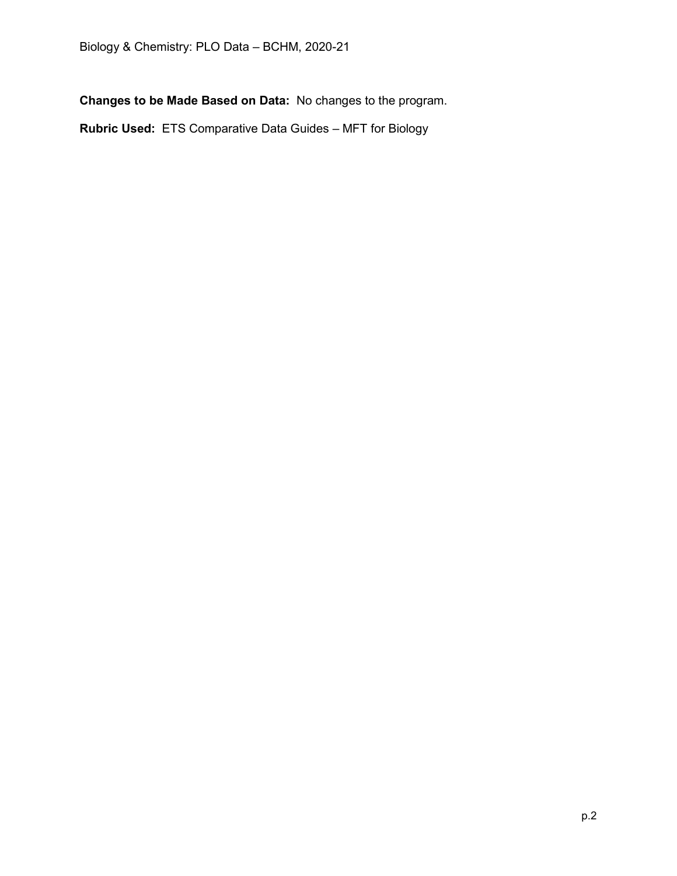**Changes to be Made Based on Data:** No changes to the program.

**Rubric Used:** ETS Comparative Data Guides – MFT for Biology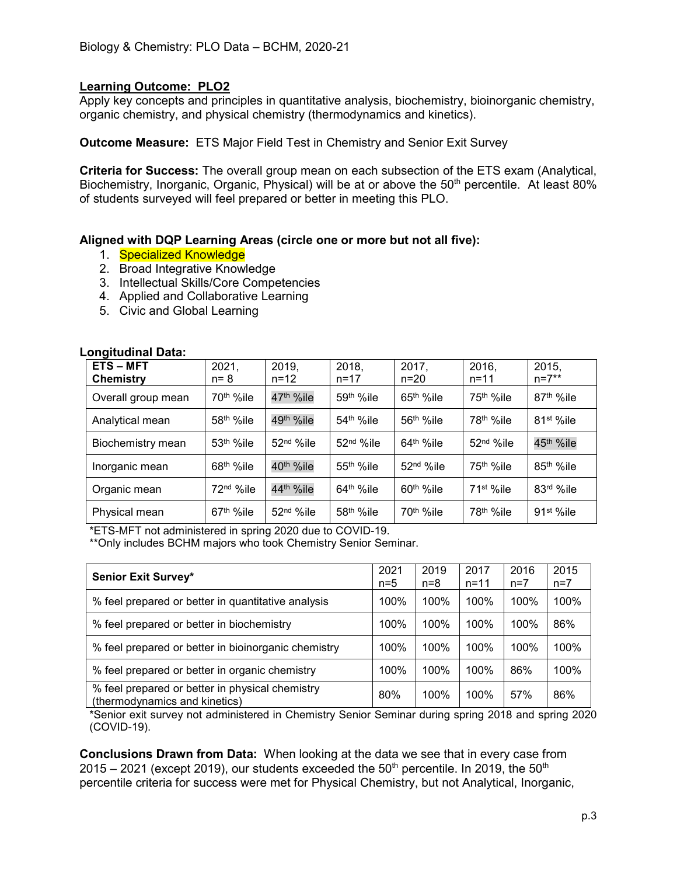Apply key concepts and principles in quantitative analysis, biochemistry, bioinorganic chemistry, organic chemistry, and physical chemistry (thermodynamics and kinetics).

**Outcome Measure:** ETS Major Field Test in Chemistry and Senior Exit Survey

**Criteria for Success:** The overall group mean on each subsection of the ETS exam (Analytical, Biochemistry, Inorganic, Organic, Physical) will be at or above the 50<sup>th</sup> percentile. At least 80% of students surveyed will feel prepared or better in meeting this PLO.

#### **Aligned with DQP Learning Areas (circle one or more but not all five):**

- 1. Specialized Knowledge
- 2. Broad Integrative Knowledge
- 3. Intellectual Skills/Core Competencies
- 4. Applied and Collaborative Learning
- 5. Civic and Global Learning

| <b>ETS-MFT</b><br>Chemistry | 2021,<br>$n = 8$      | 2019.<br>$n = 12$      | 2018.<br>$n = 17$      | 2017,<br>$n = 20$     | 2016,<br>$n = 11$      | 2015,<br>$n = 7**$     |
|-----------------------------|-----------------------|------------------------|------------------------|-----------------------|------------------------|------------------------|
| Overall group mean          | 70 <sup>th</sup> %ile | 47 <sup>th</sup> %ile  | 59 <sup>th</sup> %ile  | $65th$ %ile           | 75 <sup>th</sup> %ile  | 87 <sup>th %</sup> ile |
| Analytical mean             | 58 <sup>th</sup> %ile | 49 <sup>th</sup> %ile  | 54 <sup>th</sup> %ile  | 56 <sup>th</sup> %ile | 78 <sup>th</sup> %ile  | 81 <sup>st %</sup> ile |
| Biochemistry mean           | 53 <sup>th</sup> %ile | 52 <sup>nd</sup> %ile  | 52 <sup>nd</sup> %ile  | $64th$ %ile           | 52 <sup>nd</sup> %ile  | 45 <sup>th</sup> %ile  |
| Inorganic mean              | 68 <sup>th</sup> %ile | 40 <sup>th</sup> %ile  | 55 <sup>th</sup> %ile  | 52 <sup>nd</sup> %ile | 75 <sup>th</sup> %ile  | 85 <sup>th</sup> %ile  |
| Organic mean                | 72 <sup>nd</sup> %ile | 44 <sup>th %</sup> ile | $64th$ %ile            | $60th$ %ile           | 71 <sup>st %</sup> ile | 83rd %ile              |
| Physical mean               | $67th$ %ile           | 52 <sup>nd</sup> %ile  | 58 <sup>th %</sup> ile | 70 <sup>th</sup> %ile | 78 <sup>th %</sup> ile | $91st$ %ile            |

#### **Longitudinal Data:**

\*ETS-MFT not administered in spring 2020 due to COVID-19. \*\*Only includes BCHM majors who took Chemistry Senior Seminar.

| <b>Senior Exit Survey*</b>                                                       | 2021<br>$n=5$ | 2019<br>$n = 8$ | 2017<br>$n = 11$ | 2016<br>$n=7$ | 2015<br>$n=7$ |
|----------------------------------------------------------------------------------|---------------|-----------------|------------------|---------------|---------------|
| % feel prepared or better in quantitative analysis                               | 100%          | 100%            | 100%             | 100%          | 100%          |
| % feel prepared or better in biochemistry                                        | 100%          | 100%            | 100%             | 100%          | 86%           |
| % feel prepared or better in bioinorganic chemistry                              | 100%          | 100%            | 100%             | 100%          | 100%          |
| % feel prepared or better in organic chemistry                                   | 100%          | 100%            | 100%             | 86%           | 100%          |
| % feel prepared or better in physical chemistry<br>(thermodynamics and kinetics) | 80%           | 100%            | 100%             | 57%           | 86%           |

\*Senior exit survey not administered in Chemistry Senior Seminar during spring 2018 and spring 2020 (COVID-19).

**Conclusions Drawn from Data:** When looking at the data we see that in every case from  $2015 - 2021$  (except 2019), our students exceeded the  $50<sup>th</sup>$  percentile. In 2019, the  $50<sup>th</sup>$ percentile criteria for success were met for Physical Chemistry, but not Analytical, Inorganic,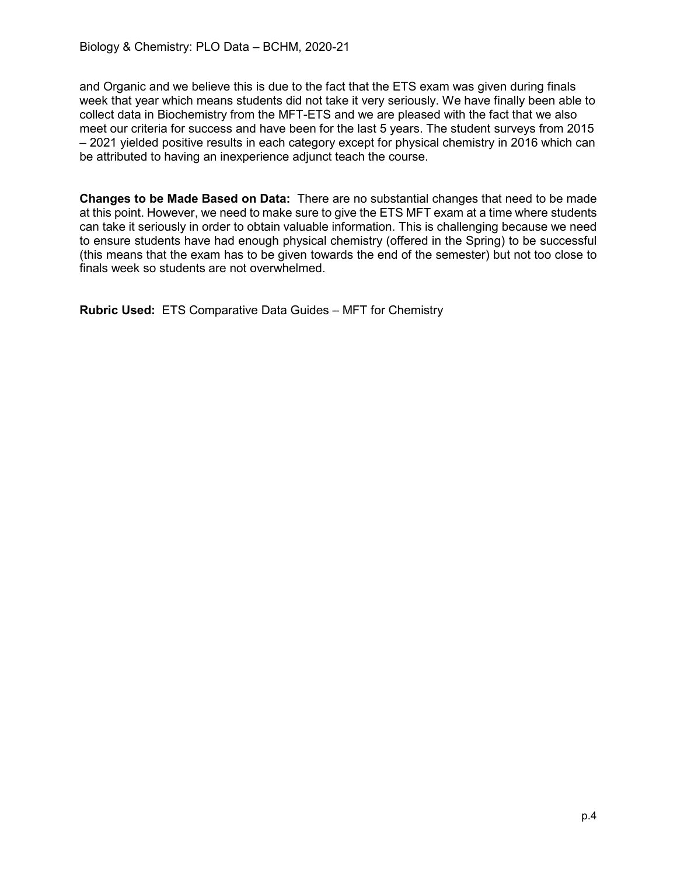and Organic and we believe this is due to the fact that the ETS exam was given during finals week that year which means students did not take it very seriously. We have finally been able to collect data in Biochemistry from the MFT-ETS and we are pleased with the fact that we also meet our criteria for success and have been for the last 5 years. The student surveys from 2015 – 2021 yielded positive results in each category except for physical chemistry in 2016 which can be attributed to having an inexperience adjunct teach the course.

**Changes to be Made Based on Data:** There are no substantial changes that need to be made at this point. However, we need to make sure to give the ETS MFT exam at a time where students can take it seriously in order to obtain valuable information. This is challenging because we need to ensure students have had enough physical chemistry (offered in the Spring) to be successful (this means that the exam has to be given towards the end of the semester) but not too close to finals week so students are not overwhelmed.

**Rubric Used:** ETS Comparative Data Guides – MFT for Chemistry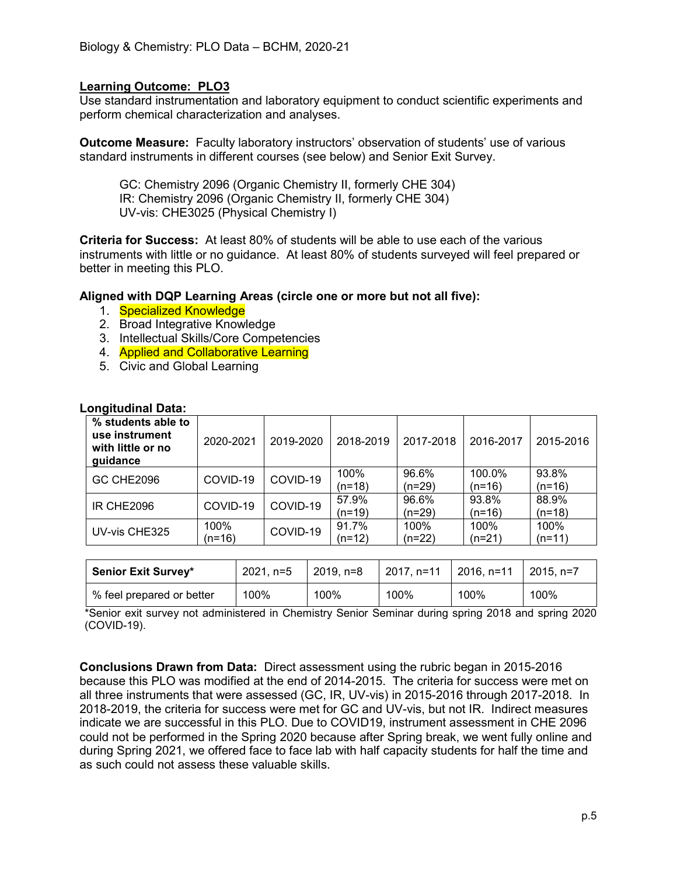Use standard instrumentation and laboratory equipment to conduct scientific experiments and perform chemical characterization and analyses.

**Outcome Measure:** Faculty laboratory instructors' observation of students' use of various standard instruments in different courses (see below) and Senior Exit Survey.

GC: Chemistry 2096 (Organic Chemistry II, formerly CHE 304) IR: Chemistry 2096 (Organic Chemistry II, formerly CHE 304) UV-vis: CHE3025 (Physical Chemistry I)

**Criteria for Success:** At least 80% of students will be able to use each of the various instruments with little or no guidance. At least 80% of students surveyed will feel prepared or better in meeting this PLO.

**Aligned with DQP Learning Areas (circle one or more but not all five):**

- 1. Specialized Knowledge
- 2. Broad Integrative Knowledge
- 3. Intellectual Skills/Core Competencies
- 4. **Applied and Collaborative Learning**
- 5. Civic and Global Learning

| .vngnuumar Data.                                                      |                |           |                 |                 |                  |                   |
|-----------------------------------------------------------------------|----------------|-----------|-----------------|-----------------|------------------|-------------------|
| % students able to<br>use instrument<br>with little or no<br>guidance | 2020-2021      | 2019-2020 | 2018-2019       | 2017-2018       | 2016-2017        | 2015-2016         |
| <b>GC CHE2096</b>                                                     | COVID-19       | COVID-19  | 100%<br>(n=18)  | 96.6%<br>(n=29) | 100.0%<br>(n=16) | 93.8%<br>$(n=16)$ |
| <b>IR CHE2096</b>                                                     | COVID-19       | COVID-19  | 57.9%<br>(n=19) | 96.6%<br>(n=29) | 93.8%<br>(n=16)  | 88.9%<br>$(n=18)$ |
| UV-vis CHE325                                                         | 100%<br>(n=16) | COVID-19  | 91.7%<br>(n=12) | 100%<br>(n=22)  | 100%<br>(n=21)   | 100%<br>$(n=11)$  |

#### **Longitudinal Data:**

| <b>Senior Exit Survey*</b> | $2021, n=5$<br>2019. n=8 |      | 2017, n=11 | $\pm 2016$ , n=11 | $2015. n=7$ |
|----------------------------|--------------------------|------|------------|-------------------|-------------|
| % feel prepared or better  | 100%                     | 100% | 100%       | 100%              | 100%        |

\*Senior exit survey not administered in Chemistry Senior Seminar during spring 2018 and spring 2020 (COVID-19).

**Conclusions Drawn from Data:** Direct assessment using the rubric began in 2015-2016 because this PLO was modified at the end of 2014-2015. The criteria for success were met on all three instruments that were assessed (GC, IR, UV-vis) in 2015-2016 through 2017-2018. In 2018-2019, the criteria for success were met for GC and UV-vis, but not IR. Indirect measures indicate we are successful in this PLO. Due to COVID19, instrument assessment in CHE 2096 could not be performed in the Spring 2020 because after Spring break, we went fully online and during Spring 2021, we offered face to face lab with half capacity students for half the time and as such could not assess these valuable skills.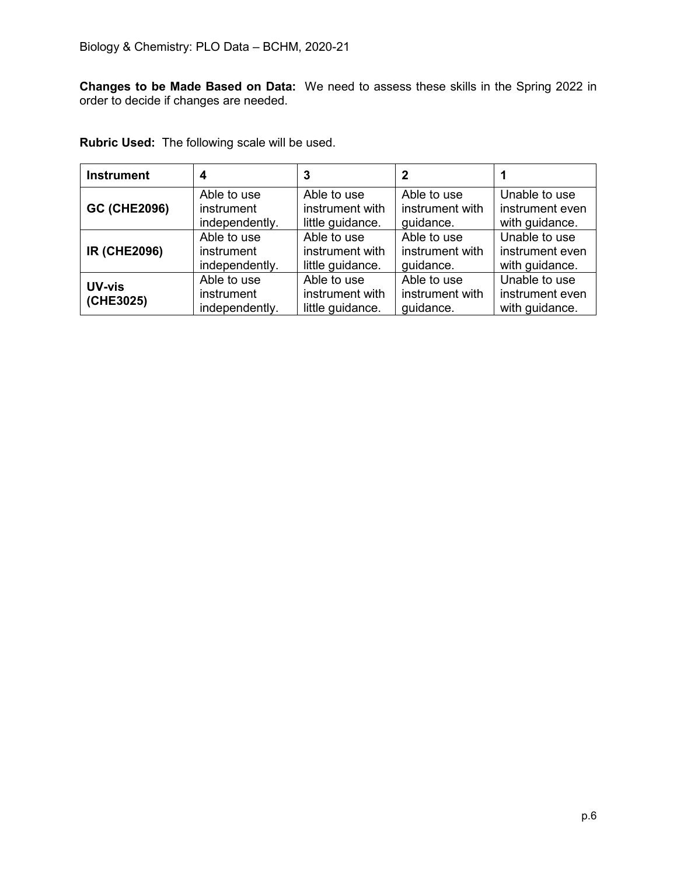**Changes to be Made Based on Data:** We need to assess these skills in the Spring 2022 in order to decide if changes are needed.

| <b>Rubric Used:</b> The following scale will be used. |  |
|-------------------------------------------------------|--|
|-------------------------------------------------------|--|

| <b>Instrument</b>          | 4                                           | 3                                                  | $\mathbf 2$                                 |                                                    |
|----------------------------|---------------------------------------------|----------------------------------------------------|---------------------------------------------|----------------------------------------------------|
| <b>GC (CHE2096)</b>        | Able to use                                 | Able to use                                        | Able to use                                 | Unable to use                                      |
|                            | instrument                                  | instrument with                                    | instrument with                             | instrument even                                    |
|                            | independently.                              | little guidance.                                   | guidance.                                   | with guidance.                                     |
| <b>IR (CHE2096)</b>        | Able to use                                 | Able to use                                        | Able to use                                 | Unable to use                                      |
|                            | instrument                                  | instrument with                                    | instrument with                             | instrument even                                    |
|                            | independently.                              | little guidance.                                   | guidance.                                   | with guidance.                                     |
| <b>UV-vis</b><br>(CHE3025) | Able to use<br>instrument<br>independently. | Able to use<br>instrument with<br>little guidance. | Able to use<br>instrument with<br>guidance. | Unable to use<br>instrument even<br>with guidance. |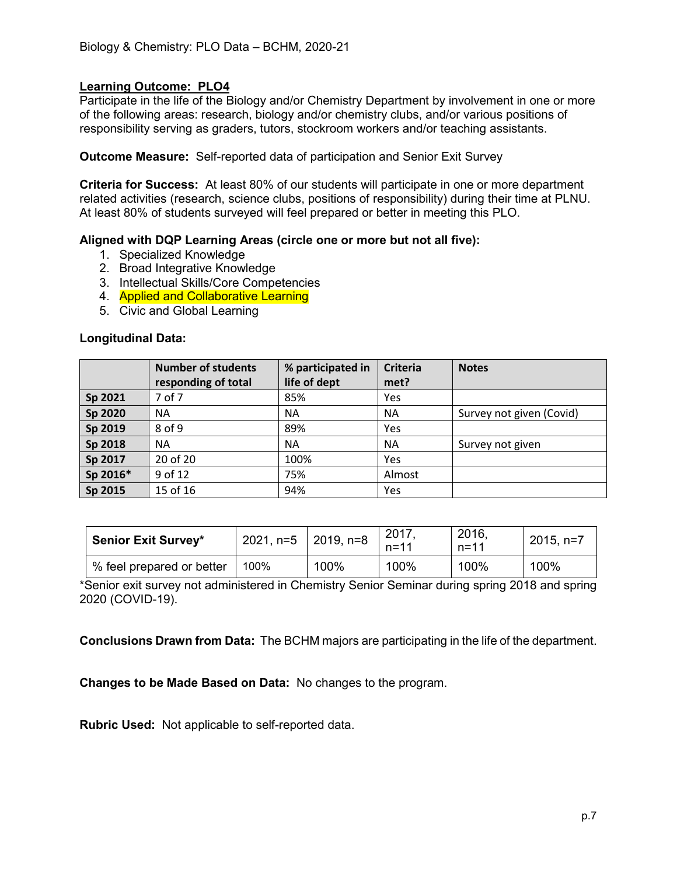Participate in the life of the Biology and/or Chemistry Department by involvement in one or more of the following areas: research, biology and/or chemistry clubs, and/or various positions of responsibility serving as graders, tutors, stockroom workers and/or teaching assistants.

**Outcome Measure:** Self-reported data of participation and Senior Exit Survey

**Criteria for Success:** At least 80% of our students will participate in one or more department related activities (research, science clubs, positions of responsibility) during their time at PLNU. At least 80% of students surveyed will feel prepared or better in meeting this PLO.

## **Aligned with DQP Learning Areas (circle one or more but not all five):**

- 1. Specialized Knowledge
- 2. Broad Integrative Knowledge
- 3. Intellectual Skills/Core Competencies
- 4. **Applied and Collaborative Learning**
- 5. Civic and Global Learning

#### **Longitudinal Data:**

|          | <b>Number of students</b><br>responding of total | % participated in<br>life of dept | <b>Criteria</b><br>met? | <b>Notes</b>             |
|----------|--------------------------------------------------|-----------------------------------|-------------------------|--------------------------|
| Sp 2021  | 7 of 7                                           | 85%                               | Yes                     |                          |
| Sp 2020  | <b>NA</b>                                        | <b>NA</b>                         | <b>NA</b>               | Survey not given (Covid) |
| Sp 2019  | $8$ of $9$                                       | 89%                               | Yes                     |                          |
| Sp 2018  | <b>NA</b>                                        | <b>NA</b>                         | <b>NA</b>               | Survey not given         |
| Sp 2017  | 20 of 20                                         | 100%                              | Yes                     |                          |
| Sp 2016* | 9 of 12                                          | 75%                               | Almost                  |                          |
| Sp 2015  | 15 of 16                                         | 94%                               | Yes                     |                          |

| <b>Senior Exit Survey*</b> | $2021$ , n=5   2019, n=8 |      | 2017<br>$n = 11$ | 2016,<br>$n = 11$ | $2015, n=7$ |
|----------------------------|--------------------------|------|------------------|-------------------|-------------|
| % feel prepared or better  | 100%                     | 100% | 100%             | 100%              | 100%        |

\*Senior exit survey not administered in Chemistry Senior Seminar during spring 2018 and spring 2020 (COVID-19).

**Conclusions Drawn from Data:** The BCHM majors are participating in the life of the department.

**Changes to be Made Based on Data:** No changes to the program.

**Rubric Used:** Not applicable to self-reported data.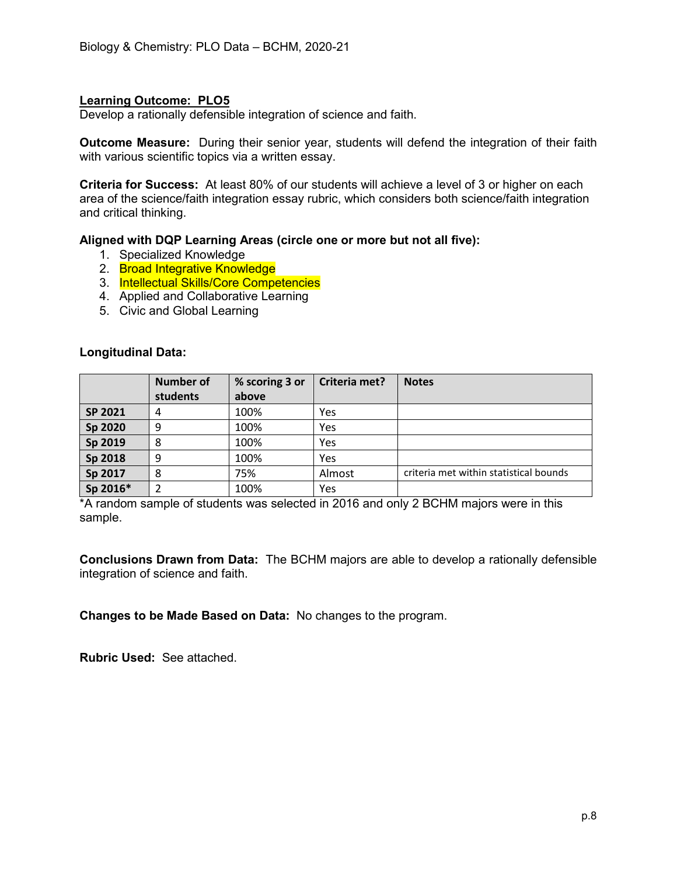Develop a rationally defensible integration of science and faith.

**Outcome Measure:** During their senior year, students will defend the integration of their faith with various scientific topics via a written essay.

**Criteria for Success:** At least 80% of our students will achieve a level of 3 or higher on each area of the science/faith integration essay rubric, which considers both science/faith integration and critical thinking.

#### **Aligned with DQP Learning Areas (circle one or more but not all five):**

- 1. Specialized Knowledge
- 2. Broad Integrative Knowledge
- 3. Intellectual Skills/Core Competencies
- 4. Applied and Collaborative Learning
- 5. Civic and Global Learning

#### **Longitudinal Data:**

|          | <b>Number of</b> | % scoring 3 or | Criteria met? | <b>Notes</b>                           |
|----------|------------------|----------------|---------------|----------------------------------------|
|          | students         | above          |               |                                        |
| SP 2021  | 4                | 100%           | Yes           |                                        |
| Sp 2020  | 9                | 100%           | Yes           |                                        |
| Sp 2019  | 8                | 100%           | Yes           |                                        |
| Sp 2018  | 9                | 100%           | Yes           |                                        |
| Sp 2017  | 8                | 75%            | Almost        | criteria met within statistical bounds |
| Sp 2016* |                  | 100%           | Yes           |                                        |

\*A random sample of students was selected in 2016 and only 2 BCHM majors were in this sample.

**Conclusions Drawn from Data:** The BCHM majors are able to develop a rationally defensible integration of science and faith.

**Changes to be Made Based on Data:** No changes to the program.

**Rubric Used:** See attached.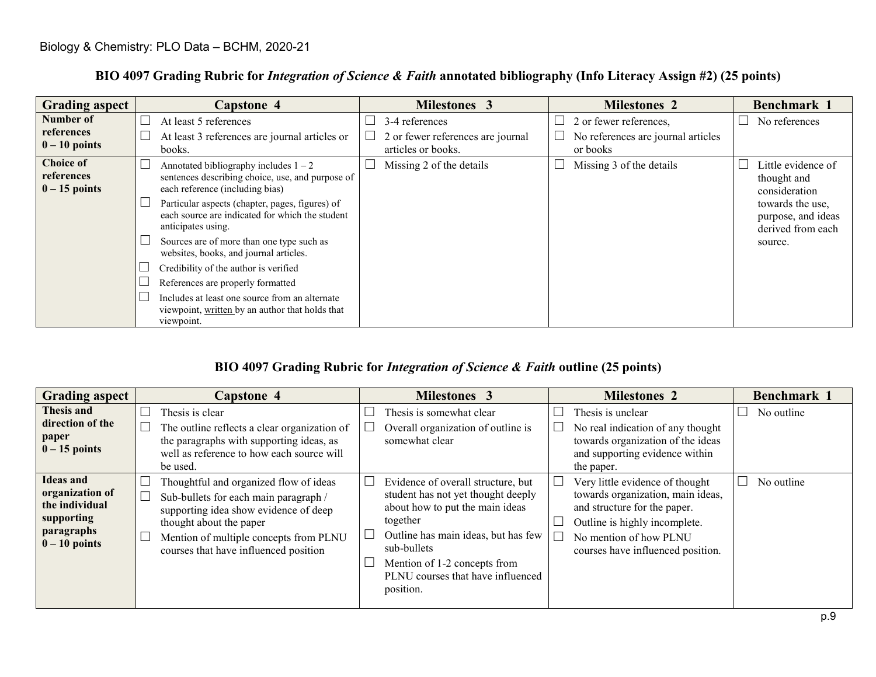| <b>Grading aspect</b>                             | <b>Capstone 4</b>                                                                                                              | Milestones 3                                        | <b>Milestones 2</b>                                          | Benchmark 1                                                 |
|---------------------------------------------------|--------------------------------------------------------------------------------------------------------------------------------|-----------------------------------------------------|--------------------------------------------------------------|-------------------------------------------------------------|
| Number of<br>references                           | At least 5 references<br>At least 3 references are journal articles or                                                         | 3-4 references<br>2 or fewer references are journal | 2 or fewer references,<br>No references are journal articles | No references                                               |
| $0 - 10$ points                                   | books.                                                                                                                         | articles or books.                                  | or books                                                     |                                                             |
| <b>Choice of</b><br>references<br>$0 - 15$ points | Annotated bibliography includes $1 - 2$<br>sentences describing choice, use, and purpose of<br>each reference (including bias) | Missing 2 of the details                            | Missing 3 of the details                                     | Little evidence of<br>thought and<br>consideration          |
|                                                   | Particular aspects (chapter, pages, figures) of<br>each source are indicated for which the student<br>anticipates using.       |                                                     |                                                              | towards the use,<br>purpose, and ideas<br>derived from each |
|                                                   | Sources are of more than one type such as<br>websites, books, and journal articles.                                            |                                                     |                                                              | source.                                                     |
|                                                   | Credibility of the author is verified                                                                                          |                                                     |                                                              |                                                             |
|                                                   | References are properly formatted                                                                                              |                                                     |                                                              |                                                             |
|                                                   | Includes at least one source from an alternate<br>viewpoint, written by an author that holds that<br>viewpoint.                |                                                     |                                                              |                                                             |

## **BIO 4097 Grading Rubric for** *Integration of Science & Faith* **annotated bibliography (Info Literacy Assign #2) (25 points)**

## **BIO 4097 Grading Rubric for** *Integration of Science & Faith* **outline (25 points)**

| <b>Grading aspect</b>                                                                                | <b>Capstone 4</b>                                                                                                                                                                                                                      | <b>Milestones 3</b>                                                                                                                                                                                                                                             | <b>Milestones 2</b>                                                                                                                                                                                  | Benchmark 1 |
|------------------------------------------------------------------------------------------------------|----------------------------------------------------------------------------------------------------------------------------------------------------------------------------------------------------------------------------------------|-----------------------------------------------------------------------------------------------------------------------------------------------------------------------------------------------------------------------------------------------------------------|------------------------------------------------------------------------------------------------------------------------------------------------------------------------------------------------------|-------------|
| <b>Thesis and</b><br>direction of the<br>paper<br>$0 - 15$ points                                    | Thesis is clear<br>The outline reflects a clear organization of<br>the paragraphs with supporting ideas, as<br>well as reference to how each source will<br>be used.                                                                   | Thesis is somewhat clear<br>Overall organization of outline is<br>somewhat clear                                                                                                                                                                                | Thesis is unclear<br>No real indication of any thought<br>towards organization of the ideas<br>and supporting evidence within<br>the paper.                                                          | No outline  |
| <b>Ideas and</b><br>organization of<br>the individual<br>supporting<br>paragraphs<br>$0 - 10$ points | Thoughtful and organized flow of ideas<br>Sub-bullets for each main paragraph /<br>supporting idea show evidence of deep<br>thought about the paper<br>Mention of multiple concepts from PLNU<br>courses that have influenced position | Evidence of overall structure, but<br>student has not yet thought deeply<br>about how to put the main ideas<br>together<br>Outline has main ideas, but has few<br>sub-bullets<br>Mention of 1-2 concepts from<br>PLNU courses that have influenced<br>position. | Very little evidence of thought<br>towards organization, main ideas,<br>and structure for the paper.<br>Outline is highly incomplete.<br>No mention of how PLNU<br>courses have influenced position. | No outline  |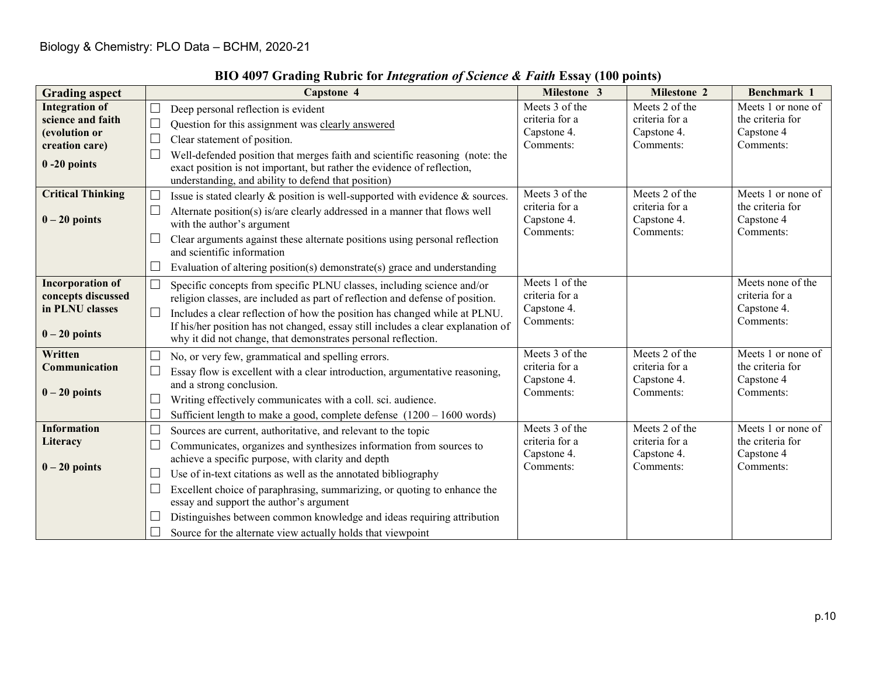| <b>Grading aspect</b>                                                                                                        | <b>Capstone 4</b>                                                                                                                                                                                                                                                                                                                                                                                                                                                                                                                                                    | Milestone 3                                                                    | Milestone 2                                                                    | Benchmark 1                                                                             |
|------------------------------------------------------------------------------------------------------------------------------|----------------------------------------------------------------------------------------------------------------------------------------------------------------------------------------------------------------------------------------------------------------------------------------------------------------------------------------------------------------------------------------------------------------------------------------------------------------------------------------------------------------------------------------------------------------------|--------------------------------------------------------------------------------|--------------------------------------------------------------------------------|-----------------------------------------------------------------------------------------|
| <b>Integration of</b><br>science and faith<br>(evolution or<br>creation care)<br>$0 - 20$ points<br><b>Critical Thinking</b> | $\Box$<br>Deep personal reflection is evident<br>$\Box$<br>Question for this assignment was clearly answered<br>$\Box$<br>Clear statement of position.<br>Well-defended position that merges faith and scientific reasoning (note: the<br>exact position is not important, but rather the evidence of reflection,<br>understanding, and ability to defend that position)<br>Issue is stated clearly & position is well-supported with evidence & sources.                                                                                                            | Meets 3 of the<br>criteria for a<br>Capstone 4.<br>Comments:<br>Meets 3 of the | Meets 2 of the<br>criteria for a<br>Capstone 4.<br>Comments:<br>Meets 2 of the | Meets 1 or none of<br>the criteria for<br>Capstone 4<br>Comments:<br>Meets 1 or none of |
| $0 - 20$ points                                                                                                              | $\Box$<br>Alternate position(s) is/are clearly addressed in a manner that flows well<br>with the author's argument<br>Clear arguments against these alternate positions using personal reflection<br>and scientific information<br>$\Box$<br>Evaluation of altering position(s) demonstrate(s) grace and understanding                                                                                                                                                                                                                                               | criteria for a<br>Capstone 4.<br>Comments:                                     | criteria for a<br>Capstone 4.<br>Comments:                                     | the criteria for<br>Capstone 4<br>Comments:                                             |
| <b>Incorporation of</b><br>concepts discussed<br>in PLNU classes<br>$0 - 20$ points                                          | Specific concepts from specific PLNU classes, including science and/or<br>$\mathbf{L}$<br>religion classes, are included as part of reflection and defense of position.<br>$\Box$<br>Includes a clear reflection of how the position has changed while at PLNU.<br>If his/her position has not changed, essay still includes a clear explanation of<br>why it did not change, that demonstrates personal reflection.                                                                                                                                                 | Meets 1 of the<br>criteria for a<br>Capstone 4.<br>Comments:                   |                                                                                | Meets none of the<br>criteria for a<br>Capstone 4.<br>Comments:                         |
| Written<br>Communication<br>$0 - 20$ points                                                                                  | No, or very few, grammatical and spelling errors.<br>$\Box$<br>Essay flow is excellent with a clear introduction, argumentative reasoning,<br>and a strong conclusion.<br>Writing effectively communicates with a coll. sci. audience.<br>$\mathbf{L}$<br>Sufficient length to make a good, complete defense $(1200 - 1600$ words)                                                                                                                                                                                                                                   | Meets 3 of the<br>criteria for a<br>Capstone 4.<br>Comments:                   | Meets 2 of the<br>criteria for a<br>Capstone 4.<br>Comments:                   | Meets 1 or none of<br>the criteria for<br>Capstone 4<br>Comments:                       |
| <b>Information</b><br>Literacy<br>$0-20$ points                                                                              | $\Box$<br>Sources are current, authoritative, and relevant to the topic<br>$\Box$<br>Communicates, organizes and synthesizes information from sources to<br>achieve a specific purpose, with clarity and depth<br>Use of in-text citations as well as the annotated bibliography<br>$\Box$<br>Excellent choice of paraphrasing, summarizing, or quoting to enhance the<br>$\Box$<br>essay and support the author's argument<br>Distinguishes between common knowledge and ideas requiring attribution<br>Source for the alternate view actually holds that viewpoint | Meets 3 of the<br>criteria for a<br>Capstone 4.<br>Comments:                   | Meets 2 of the<br>criteria for a<br>Capstone 4.<br>Comments:                   | Meets 1 or none of<br>the criteria for<br>Capstone 4<br>Comments:                       |

# **BIO 4097 Grading Rubric for** *Integration of Science & Faith* **Essay (100 points)**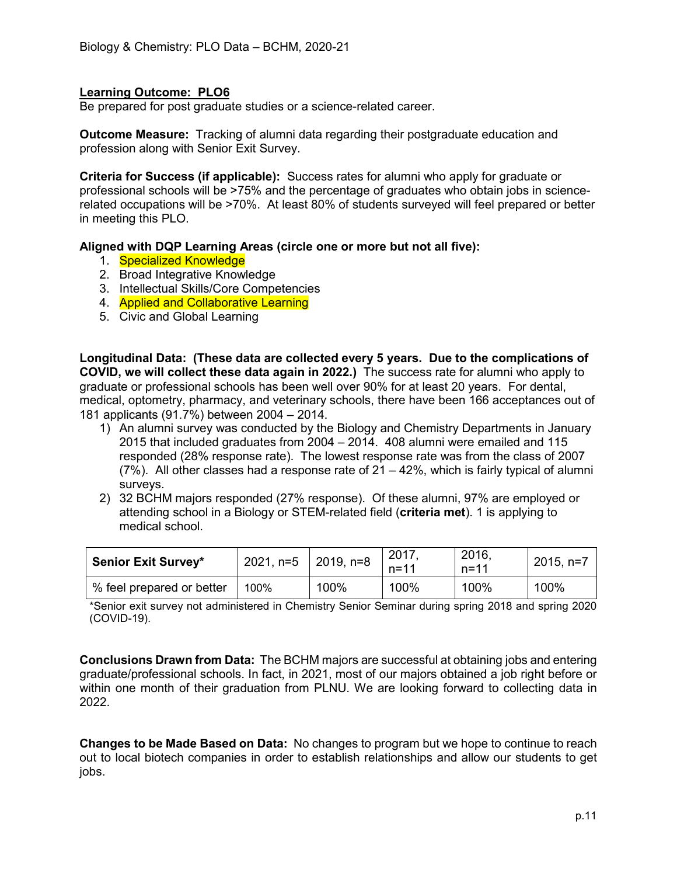Be prepared for post graduate studies or a science-related career.

**Outcome Measure:** Tracking of alumni data regarding their postgraduate education and profession along with Senior Exit Survey.

**Criteria for Success (if applicable):** Success rates for alumni who apply for graduate or professional schools will be >75% and the percentage of graduates who obtain jobs in sciencerelated occupations will be >70%. At least 80% of students surveyed will feel prepared or better in meeting this PLO.

#### **Aligned with DQP Learning Areas (circle one or more but not all five):**

- 1. Specialized Knowledge
- 2. Broad Integrative Knowledge
- 3. Intellectual Skills/Core Competencies
- 4. **Applied and Collaborative Learning**
- 5. Civic and Global Learning

**Longitudinal Data: (These data are collected every 5 years. Due to the complications of COVID, we will collect these data again in 2022.)** The success rate for alumni who apply to graduate or professional schools has been well over 90% for at least 20 years. For dental, medical, optometry, pharmacy, and veterinary schools, there have been 166 acceptances out of 181 applicants (91.7%) between 2004 – 2014.

- 1) An alumni survey was conducted by the Biology and Chemistry Departments in January 2015 that included graduates from 2004 – 2014. 408 alumni were emailed and 115 responded (28% response rate). The lowest response rate was from the class of 2007  $(7%)$ . All other classes had a response rate of  $21 - 42%$ , which is fairly typical of alumni surveys.
- 2) 32 BCHM majors responded (27% response). Of these alumni, 97% are employed or attending school in a Biology or STEM-related field (**criteria met**). 1 is applying to medical school.

| <b>Senior Exit Survey*</b> | 2021, n=5   2019, n=8 |      | 2017<br>$n = 11$ | 2016.<br>$n = 11$ | $2015, n=7$ |
|----------------------------|-----------------------|------|------------------|-------------------|-------------|
| % feel prepared or better  | 100%                  | 100% | 100%             | 100%              | 100%        |

\*Senior exit survey not administered in Chemistry Senior Seminar during spring 2018 and spring 2020 (COVID-19).

**Conclusions Drawn from Data:** The BCHM majors are successful at obtaining jobs and entering graduate/professional schools. In fact, in 2021, most of our majors obtained a job right before or within one month of their graduation from PLNU. We are looking forward to collecting data in 2022.

**Changes to be Made Based on Data:** No changes to program but we hope to continue to reach out to local biotech companies in order to establish relationships and allow our students to get jobs.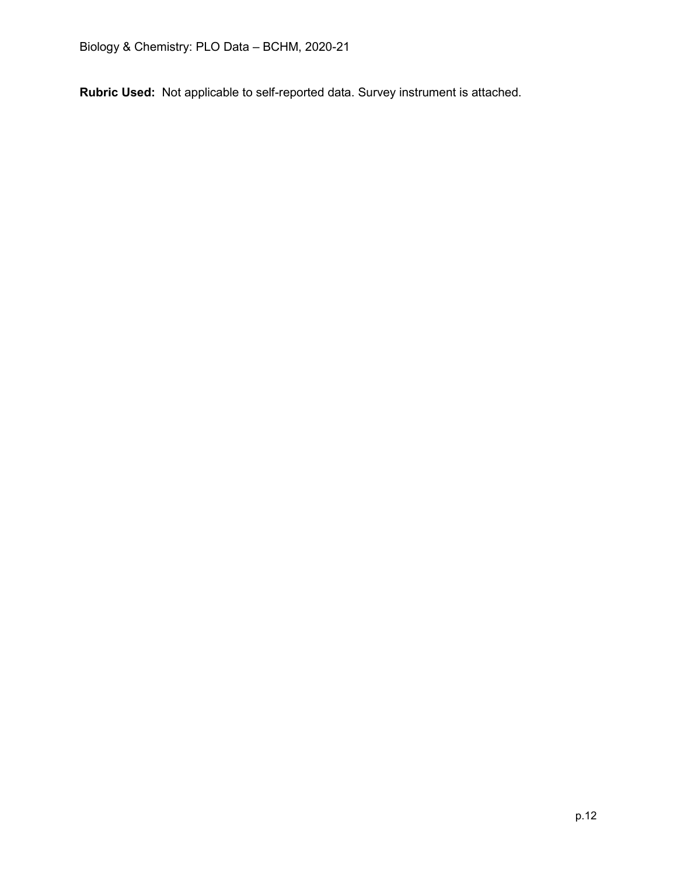**Rubric Used:** Not applicable to self-reported data. Survey instrument is attached.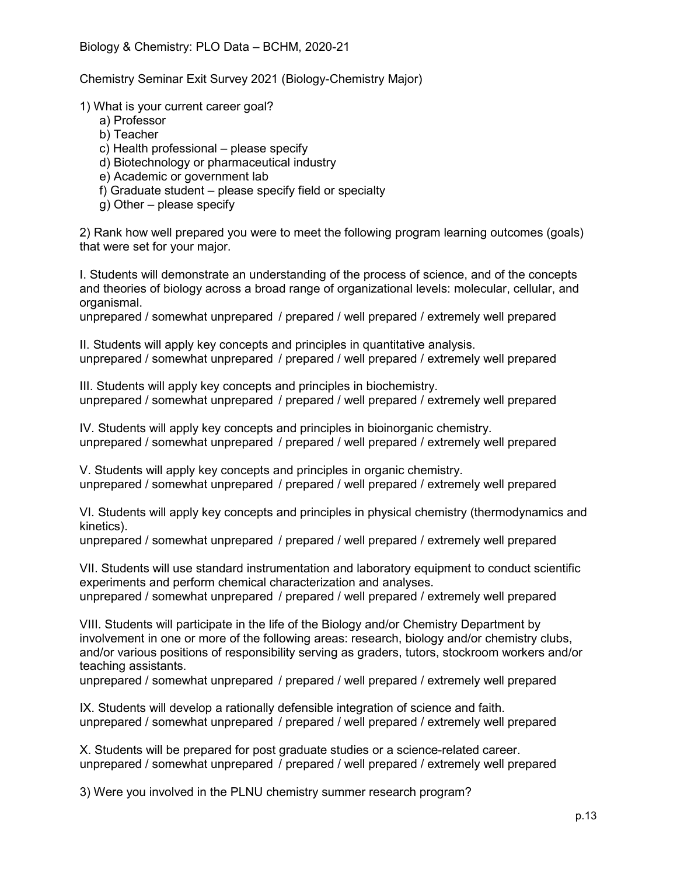Chemistry Seminar Exit Survey 2021 (Biology-Chemistry Major)

1) What is your current career goal?

- a) Professor
- b) Teacher
- c) Health professional please specify
- d) Biotechnology or pharmaceutical industry
- e) Academic or government lab
- f) Graduate student please specify field or specialty
- g) Other please specify

2) Rank how well prepared you were to meet the following program learning outcomes (goals) that were set for your major.

I. Students will demonstrate an understanding of the process of science, and of the concepts and theories of biology across a broad range of organizational levels: molecular, cellular, and organismal.

unprepared / somewhat unprepared / prepared / well prepared / extremely well prepared

II. Students will apply key concepts and principles in quantitative analysis. unprepared / somewhat unprepared / prepared / well prepared / extremely well prepared

III. Students will apply key concepts and principles in biochemistry. unprepared / somewhat unprepared / prepared / well prepared / extremely well prepared

IV. Students will apply key concepts and principles in bioinorganic chemistry. unprepared / somewhat unprepared / prepared / well prepared / extremely well prepared

V. Students will apply key concepts and principles in organic chemistry. unprepared / somewhat unprepared / prepared / well prepared / extremely well prepared

VI. Students will apply key concepts and principles in physical chemistry (thermodynamics and kinetics).

unprepared / somewhat unprepared / prepared / well prepared / extremely well prepared

VII. Students will use standard instrumentation and laboratory equipment to conduct scientific experiments and perform chemical characterization and analyses. unprepared / somewhat unprepared / prepared / well prepared / extremely well prepared

VIII. Students will participate in the life of the Biology and/or Chemistry Department by involvement in one or more of the following areas: research, biology and/or chemistry clubs, and/or various positions of responsibility serving as graders, tutors, stockroom workers and/or teaching assistants.

unprepared / somewhat unprepared / prepared / well prepared / extremely well prepared

IX. Students will develop a rationally defensible integration of science and faith. unprepared / somewhat unprepared / prepared / well prepared / extremely well prepared

X. Students will be prepared for post graduate studies or a science-related career. unprepared / somewhat unprepared / prepared / well prepared / extremely well prepared

3) Were you involved in the PLNU chemistry summer research program?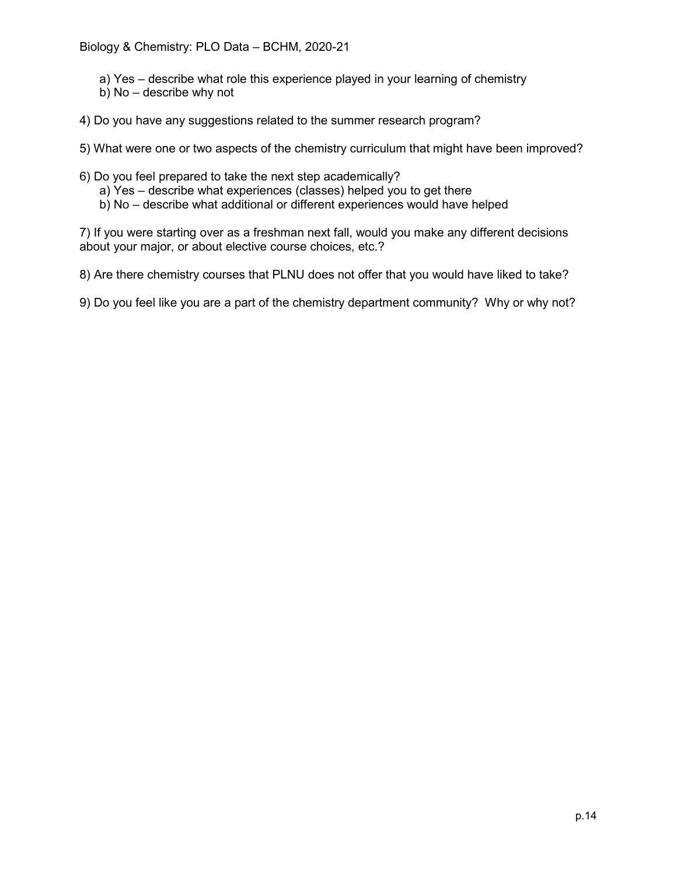- a) Yes describe what role this experience played in your learning of chemistry
- b) No describe why not
- 4) Do you have any suggestions related to the summer research program?

5) What were one or two aspects of the chemistry curriculum that might have been improved?

- 6) Do you feel prepared to take the next step academically?
	- a) Yes describe what experiences (classes) helped you to get there
	- b) No describe what additional or different experiences would have helped

7) If you were starting over as a freshman next fall, would you make any different decisions about your major, or about elective course choices, etc.?

8) Are there chemistry courses that PLNU does not offer that you would have liked to take?

9) Do you feel like you are a part of the chemistry department community? Why or why not?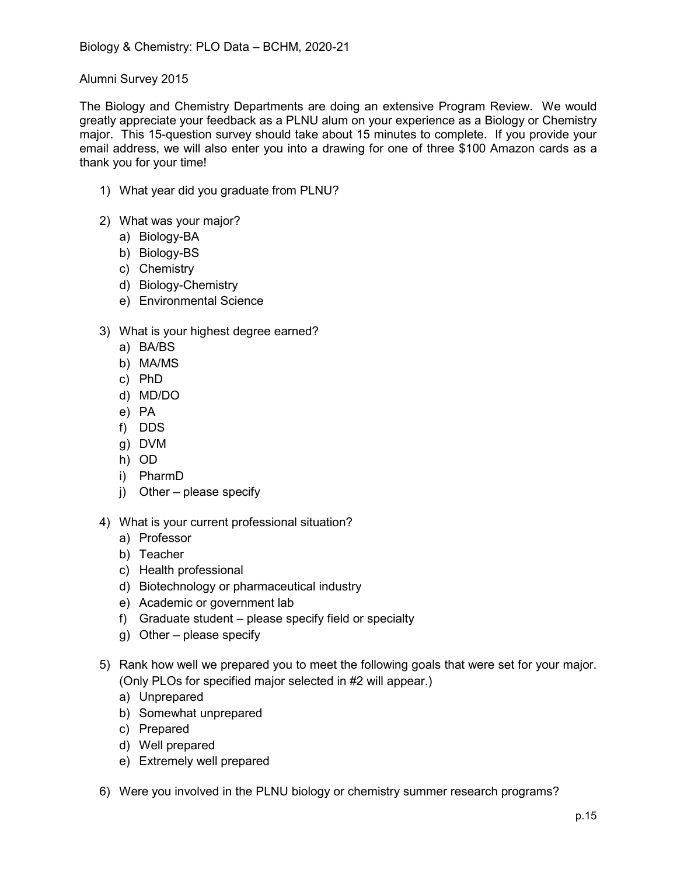## Alumni Survey 2015

The Biology and Chemistry Departments are doing an extensive Program Review. We would greatly appreciate your feedback as a PLNU alum on your experience as a Biology or Chemistry major. This 15-question survey should take about 15 minutes to complete. If you provide your email address, we will also enter you into a drawing for one of three \$100 Amazon cards as a thank you for your time!

- 1) What year did you graduate from PLNU?
- 2) What was your major?
	- a) Biology-BA
	- b) Biology-BS
	- c) Chemistry
	- d) Biology-Chemistry
	- e) Environmental Science
- 3) What is your highest degree earned?
	- a) BA/BS
	- b) MA/MS
	- c) PhD
	- d) MD/DO
	- e) PA
	- f) DDS
	- g) DVM
	- h) OD
	- i) PharmD
	- j) Other please specify
- 4) What is your current professional situation?
	- a) Professor
	- b) Teacher
	- c) Health professional
	- d) Biotechnology or pharmaceutical industry
	- e) Academic or government lab
	- f) Graduate student please specify field or specialty
	- g) Other please specify
- 5) Rank how well we prepared you to meet the following goals that were set for your major. (Only PLOs for specified major selected in #2 will appear.)
	- a) Unprepared
	- b) Somewhat unprepared
	- c) Prepared
	- d) Well prepared
	- e) Extremely well prepared
- 6) Were you involved in the PLNU biology or chemistry summer research programs?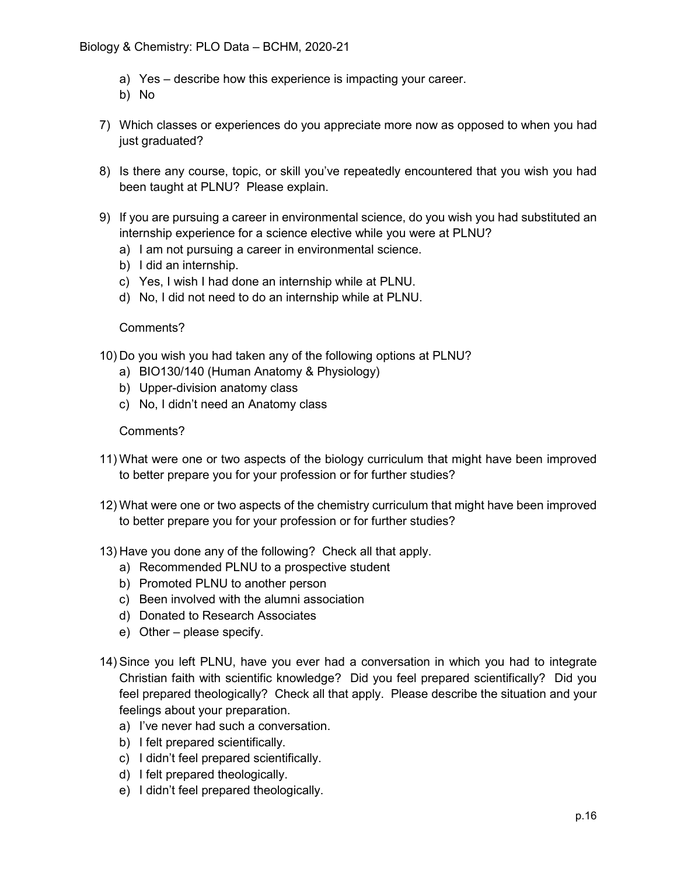- a) Yes describe how this experience is impacting your career.
- b) No
- 7) Which classes or experiences do you appreciate more now as opposed to when you had just graduated?
- 8) Is there any course, topic, or skill you've repeatedly encountered that you wish you had been taught at PLNU? Please explain.
- 9) If you are pursuing a career in environmental science, do you wish you had substituted an internship experience for a science elective while you were at PLNU?
	- a) I am not pursuing a career in environmental science.
	- b) I did an internship.
	- c) Yes, I wish I had done an internship while at PLNU.
	- d) No, I did not need to do an internship while at PLNU.

#### Comments?

- 10) Do you wish you had taken any of the following options at PLNU?
	- a) BIO130/140 (Human Anatomy & Physiology)
	- b) Upper-division anatomy class
	- c) No, I didn't need an Anatomy class

#### Comments?

- 11) What were one or two aspects of the biology curriculum that might have been improved to better prepare you for your profession or for further studies?
- 12) What were one or two aspects of the chemistry curriculum that might have been improved to better prepare you for your profession or for further studies?
- 13) Have you done any of the following? Check all that apply.
	- a) Recommended PLNU to a prospective student
	- b) Promoted PLNU to another person
	- c) Been involved with the alumni association
	- d) Donated to Research Associates
	- e) Other please specify.
- 14) Since you left PLNU, have you ever had a conversation in which you had to integrate Christian faith with scientific knowledge? Did you feel prepared scientifically? Did you feel prepared theologically? Check all that apply. Please describe the situation and your feelings about your preparation.
	- a) I've never had such a conversation.
	- b) I felt prepared scientifically.
	- c) I didn't feel prepared scientifically.
	- d) I felt prepared theologically.
	- e) I didn't feel prepared theologically.